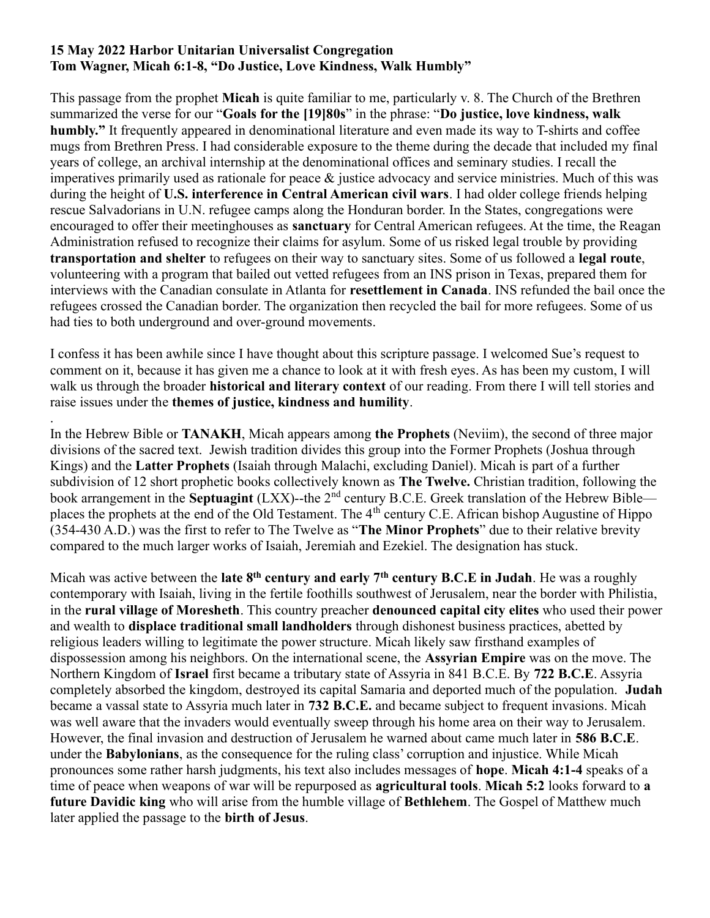## 15 May 2022 Harbor Unitarian Universalist Congregation Tom Wagner, Micah 6:1-8, "Do Justice, Love Kindness, Walk Humbly"

This passage from the prophet Micah is quite familiar to me, particularly v. 8. The Church of the Brethren summarized the verse for our "Goals for the [19]80s" in the phrase: "Do justice, love kindness, walk humbly." It frequently appeared in denominational literature and even made its way to T-shirts and coffee mugs from Brethren Press. I had considerable exposure to the theme during the decade that included my final years of college, an archival internship at the denominational offices and seminary studies. I recall the imperatives primarily used as rationale for peace & justice advocacy and service ministries. Much of this was during the height of U.S. interference in Central American civil wars. I had older college friends helping rescue Salvadorians in U.N. refugee camps along the Honduran border. In the States, congregations were encouraged to offer their meetinghouses as sanctuary for Central American refugees. At the time, the Reagan Administration refused to recognize their claims for asylum. Some of us risked legal trouble by providing transportation and shelter to refugees on their way to sanctuary sites. Some of us followed a legal route, volunteering with a program that bailed out vetted refugees from an INS prison in Texas, prepared them for interviews with the Canadian consulate in Atlanta for resettlement in Canada. INS refunded the bail once the refugees crossed the Canadian border. The organization then recycled the bail for more refugees. Some of us had ties to both underground and over-ground movements.

I confess it has been awhile since I have thought about this scripture passage. I welcomed Sue's request to comment on it, because it has given me a chance to look at it with fresh eyes. As has been my custom, I will walk us through the broader **historical and literary context** of our reading. From there I will tell stories and raise issues under the themes of justice, kindness and humility.

. In the Hebrew Bible or TANAKH, Micah appears among the Prophets (Neviim), the second of three major divisions of the sacred text. Jewish tradition divides this group into the Former Prophets (Joshua through Kings) and the Latter Prophets (Isaiah through Malachi, excluding Daniel). Micah is part of a further subdivision of 12 short prophetic books collectively known as The Twelve. Christian tradition, following the book arrangement in the Septuagint (LXX)--the 2<sup>nd</sup> century B.C.E. Greek translation of the Hebrew Bible places the prophets at the end of the Old Testament. The 4<sup>th</sup> century C.E. African bishop Augustine of Hippo (354-430 A.D.) was the first to refer to The Twelve as "The Minor Prophets" due to their relative brevity compared to the much larger works of Isaiah, Jeremiah and Ezekiel. The designation has stuck.

Micah was active between the late  $8<sup>th</sup>$  century and early 7<sup>th</sup> century B.C.E in Judah. He was a roughly contemporary with Isaiah, living in the fertile foothills southwest of Jerusalem, near the border with Philistia, in the rural village of Moresheth. This country preacher denounced capital city elites who used their power and wealth to displace traditional small landholders through dishonest business practices, abetted by religious leaders willing to legitimate the power structure. Micah likely saw firsthand examples of dispossession among his neighbors. On the international scene, the Assyrian Empire was on the move. The Northern Kingdom of Israel first became a tributary state of Assyria in 841 B.C.E. By 722 B.C.E. Assyria completely absorbed the kingdom, destroyed its capital Samaria and deported much of the population. Judah became a vassal state to Assyria much later in 732 B.C.E. and became subject to frequent invasions. Micah was well aware that the invaders would eventually sweep through his home area on their way to Jerusalem. However, the final invasion and destruction of Jerusalem he warned about came much later in 586 B.C.E. under the **Babylonians**, as the consequence for the ruling class' corruption and injustice. While Micah pronounces some rather harsh judgments, his text also includes messages of hope. Micah 4:1-4 speaks of a time of peace when weapons of war will be repurposed as **agricultural tools. Micah 5:2** looks forward to **a** future Davidic king who will arise from the humble village of Bethlehem. The Gospel of Matthew much later applied the passage to the birth of Jesus.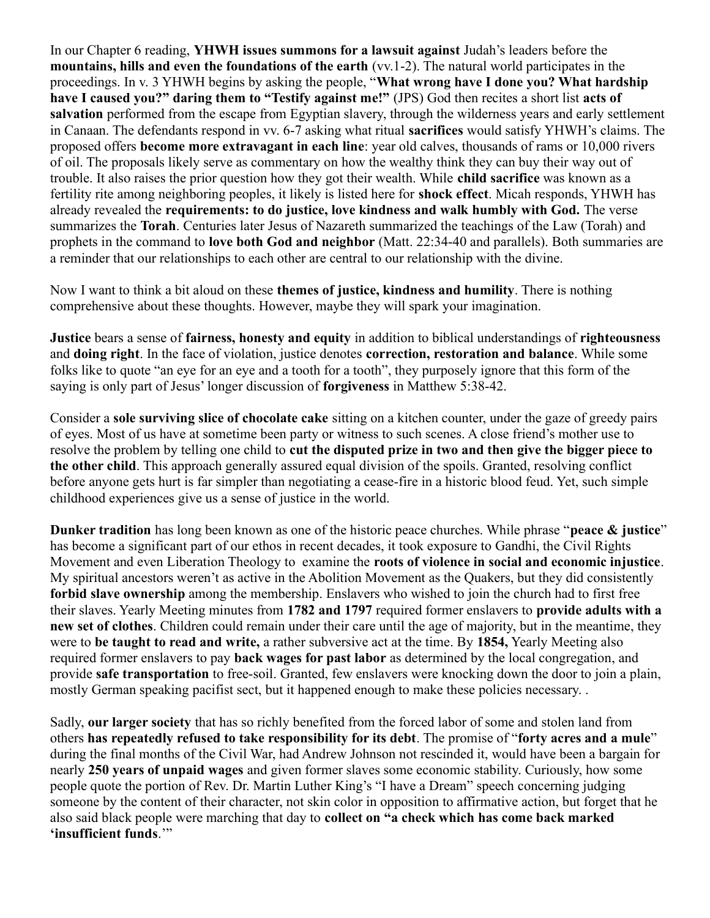In our Chapter 6 reading, YHWH issues summons for a lawsuit against Judah's leaders before the mountains, hills and even the foundations of the earth (vv.1-2). The natural world participates in the proceedings. In v. 3 YHWH begins by asking the people, "What wrong have I done you? What hardship have I caused you?" daring them to "Testify against me!" (JPS) God then recites a short list acts of salvation performed from the escape from Egyptian slavery, through the wilderness years and early settlement in Canaan. The defendants respond in vv. 6-7 asking what ritual sacrifices would satisfy YHWH's claims. The proposed offers become more extravagant in each line: year old calves, thousands of rams or 10,000 rivers of oil. The proposals likely serve as commentary on how the wealthy think they can buy their way out of trouble. It also raises the prior question how they got their wealth. While child sacrifice was known as a fertility rite among neighboring peoples, it likely is listed here for shock effect. Micah responds, YHWH has already revealed the requirements: to do justice, love kindness and walk humbly with God. The verse summarizes the Torah. Centuries later Jesus of Nazareth summarized the teachings of the Law (Torah) and prophets in the command to love both God and neighbor (Matt. 22:34-40 and parallels). Both summaries are a reminder that our relationships to each other are central to our relationship with the divine.

Now I want to think a bit aloud on these **themes of justice, kindness and humility**. There is nothing comprehensive about these thoughts. However, maybe they will spark your imagination.

Justice bears a sense of fairness, honesty and equity in addition to biblical understandings of righteousness and doing right. In the face of violation, justice denotes correction, restoration and balance. While some folks like to quote "an eye for an eye and a tooth for a tooth", they purposely ignore that this form of the saying is only part of Jesus' longer discussion of forgiveness in Matthew 5:38-42.

Consider a sole surviving slice of chocolate cake sitting on a kitchen counter, under the gaze of greedy pairs of eyes. Most of us have at sometime been party or witness to such scenes. A close friend's mother use to resolve the problem by telling one child to cut the disputed prize in two and then give the bigger piece to the other child. This approach generally assured equal division of the spoils. Granted, resolving conflict before anyone gets hurt is far simpler than negotiating a cease-fire in a historic blood feud. Yet, such simple childhood experiences give us a sense of justice in the world.

Dunker tradition has long been known as one of the historic peace churches. While phrase "peace & justice" has become a significant part of our ethos in recent decades, it took exposure to Gandhi, the Civil Rights Movement and even Liberation Theology to examine the roots of violence in social and economic injustice. My spiritual ancestors weren't as active in the Abolition Movement as the Quakers, but they did consistently forbid slave ownership among the membership. Enslavers who wished to join the church had to first free their slaves. Yearly Meeting minutes from 1782 and 1797 required former enslavers to provide adults with a new set of clothes. Children could remain under their care until the age of majority, but in the meantime, they were to be taught to read and write, a rather subversive act at the time. By 1854, Yearly Meeting also required former enslavers to pay **back wages for past labor** as determined by the local congregation, and provide safe transportation to free-soil. Granted, few enslavers were knocking down the door to join a plain, mostly German speaking pacifist sect, but it happened enough to make these policies necessary. .

Sadly, our larger society that has so richly benefited from the forced labor of some and stolen land from others has repeatedly refused to take responsibility for its debt. The promise of "forty acres and a mule" during the final months of the Civil War, had Andrew Johnson not rescinded it, would have been a bargain for nearly 250 years of unpaid wages and given former slaves some economic stability. Curiously, how some people quote the portion of Rev. Dr. Martin Luther King's "I have a Dream" speech concerning judging someone by the content of their character, not skin color in opposition to affirmative action, but forget that he also said black people were marching that day to collect on "a check which has come back marked 'insufficient funds.'"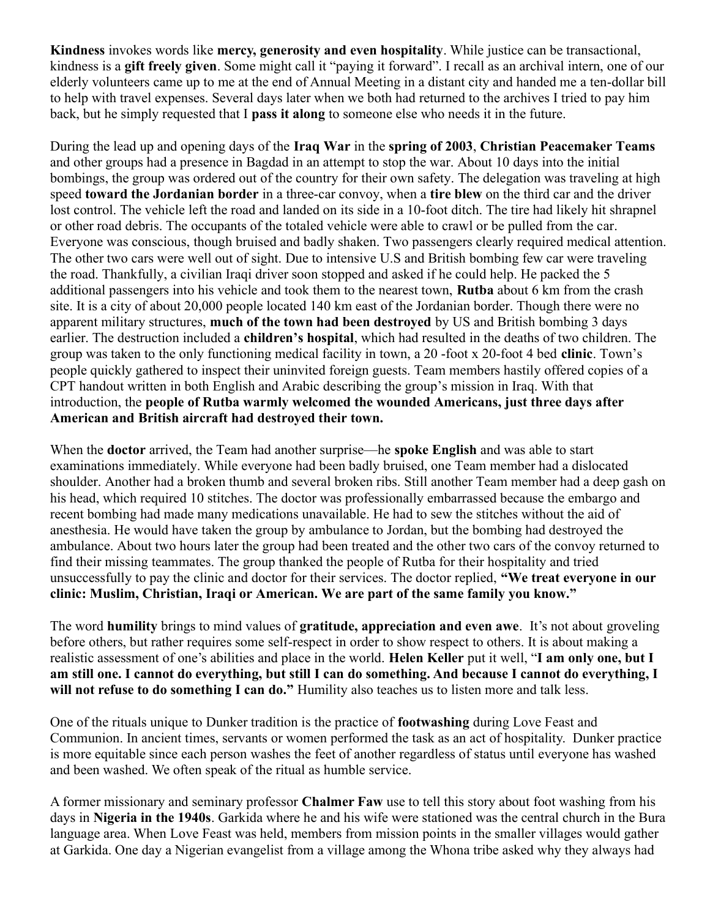Kindness invokes words like mercy, generosity and even hospitality. While justice can be transactional, kindness is a gift freely given. Some might call it "paying it forward". I recall as an archival intern, one of our elderly volunteers came up to me at the end of Annual Meeting in a distant city and handed me a ten-dollar bill to help with travel expenses. Several days later when we both had returned to the archives I tried to pay him back, but he simply requested that I pass it along to someone else who needs it in the future.

During the lead up and opening days of the Iraq War in the spring of 2003, Christian Peacemaker Teams and other groups had a presence in Bagdad in an attempt to stop the war. About 10 days into the initial bombings, the group was ordered out of the country for their own safety. The delegation was traveling at high speed toward the Jordanian border in a three-car convoy, when a tire blew on the third car and the driver lost control. The vehicle left the road and landed on its side in a 10-foot ditch. The tire had likely hit shrapnel or other road debris. The occupants of the totaled vehicle were able to crawl or be pulled from the car. Everyone was conscious, though bruised and badly shaken. Two passengers clearly required medical attention. The other two cars were well out of sight. Due to intensive U.S and British bombing few car were traveling the road. Thankfully, a civilian Iraqi driver soon stopped and asked if he could help. He packed the 5 additional passengers into his vehicle and took them to the nearest town, Rutba about 6 km from the crash site. It is a city of about 20,000 people located 140 km east of the Jordanian border. Though there were no apparent military structures, much of the town had been destroved by US and British bombing 3 days earlier. The destruction included a children's hospital, which had resulted in the deaths of two children. The group was taken to the only functioning medical facility in town, a 20 -foot x 20-foot 4 bed clinic. Town's people quickly gathered to inspect their uninvited foreign guests. Team members hastily offered copies of a CPT handout written in both English and Arabic describing the group's mission in Iraq. With that introduction, the people of Rutba warmly welcomed the wounded Americans, just three days after American and British aircraft had destroyed their town.

When the **doctor** arrived, the Team had another surprise—he **spoke English** and was able to start examinations immediately. While everyone had been badly bruised, one Team member had a dislocated shoulder. Another had a broken thumb and several broken ribs. Still another Team member had a deep gash on his head, which required 10 stitches. The doctor was professionally embarrassed because the embargo and recent bombing had made many medications unavailable. He had to sew the stitches without the aid of anesthesia. He would have taken the group by ambulance to Jordan, but the bombing had destroyed the ambulance. About two hours later the group had been treated and the other two cars of the convoy returned to find their missing teammates. The group thanked the people of Rutba for their hospitality and tried unsuccessfully to pay the clinic and doctor for their services. The doctor replied, "We treat everyone in our clinic: Muslim, Christian, Iraqi or American. We are part of the same family you know."

The word **humility** brings to mind values of **gratitude, appreciation and even awe**. It's not about groveling before others, but rather requires some self-respect in order to show respect to others. It is about making a realistic assessment of one's abilities and place in the world. Helen Keller put it well, "I am only one, but I am still one. I cannot do everything, but still I can do something. And because I cannot do everything, I will not refuse to do something I can do." Humility also teaches us to listen more and talk less.

One of the rituals unique to Dunker tradition is the practice of footwashing during Love Feast and Communion. In ancient times, servants or women performed the task as an act of hospitality. Dunker practice is more equitable since each person washes the feet of another regardless of status until everyone has washed and been washed. We often speak of the ritual as humble service.

A former missionary and seminary professor Chalmer Faw use to tell this story about foot washing from his days in Nigeria in the 1940s. Garkida where he and his wife were stationed was the central church in the Bura language area. When Love Feast was held, members from mission points in the smaller villages would gather at Garkida. One day a Nigerian evangelist from a village among the Whona tribe asked why they always had